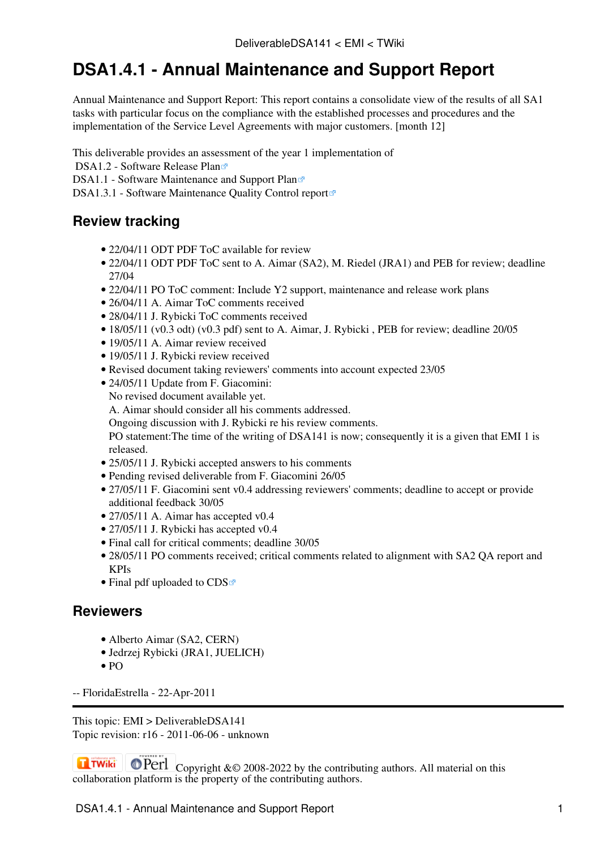## **DSA1.4.1 - Annual Maintenance and Support Report**

Annual Maintenance and Support Report: This report contains a consolidate view of the results of all SA1 tasks with particular focus on the compliance with the established processes and procedures and the implementation of the Service Level Agreements with major customers. [month 12]

This deliverable provides an assessment of the year 1 implementation of

DSA1.2 - Software Release Plan<sup>®</sup>

[DSA1.1 - Software Maintenance and Support Plan](http://cdsweb.cern.ch/record/1277556/files/EMI-DSA1.1-1277556-Software_Maintenance_Support_Plan-v1.0.pdf)e

[DSA1.3.1 - Software Maintenance Quality Control report](http://cdsweb.cern.ch/record/1277561/files/EMI-DSA1.3.1-1277561-Software_Maintenance_Report-v1.0.pdf)®

## **Review tracking**

- 22/04/11 [ODT](https://twiki.cern.ch/twiki/pub/EMI/DeliverableDSA141/EMI-DSA1.1-1277557-AnnualMaintenanceAndSupportReport-v0.1-TOC.odt) [PDF](https://twiki.cern.ch/twiki/pub/EMI/DeliverableDSA141/EMI-DSA1.1-1277557-AnnualMaintenanceAndSupportReport-v0.1-TOC.pdf) ToC available for review
- 22/04/11 [ODT](https://twiki.cern.ch/twiki/pub/EMI/DeliverableDSA141/EMI-DSA1.1-1277557-AnnualMaintenanceAndSupportReport-v0.1-TOC.odt) [PDF](https://twiki.cern.ch/twiki/pub/EMI/DeliverableDSA141/EMI-DSA1.1-1277557-AnnualMaintenanceAndSupportReport-v0.1-TOC.pdf) ToC sent to A. Aimar (SA2), M. Riedel (JRA1) and PEB for review; deadline 27/04
- 22/04/11 PO ToC comment: Include Y2 support, maintenance and release work plans
- 26/04/11 A. Aimar ToC comments received
- 28/04/11 J. Rybicki ToC comments received
- 18/05/11 [\(v0.3 odt\)](https://twiki.cern.ch/twiki/pub/EMI/DeliverableDSA141/EMI-DSA1.4.1-1277557-AnnualMaintenanceAndSupportReport-v0.3.odt) [\(v0.3 pdf\)](https://twiki.cern.ch/twiki/pub/EMI/DeliverableDSA141/EMI-DSA1.4.1-1277557-AnnualMaintenanceAndSupportReport-v0.3.pdf) sent to A. Aimar, J. Rybicki, PEB for review; deadline 20/05
- 19/05/11 A. Aimar review received
- 19/05/11 J. Rybicki review received
- Revised document taking reviewers' comments into account expected 23/05
- 24/05/11 Update from F. Giacomini:

No revised document available yet.

A. Aimar should consider all his comments addressed.

Ongoing discussion with J. Rybicki re his review comments.

PO statement:The time of the writing of DSA141 is now; consequently it is a given that EMI 1 is released.

- 25/05/11 J. Rybicki accepted [answers to his comments](https://twiki.cern.ch/twiki/bin/view/EMI/ReviewDSA141JRA1)
- Pending revised deliverable from F. Giacomini 26/05
- 27/05/11 F. Giacomini sent v0.4 addressing reviewers' comments; deadline to accept or provide additional feedback 30/05
- 27/05/11 A. Aimar has accepted v0.4
- 27/05/11 J. Rybicki has accepted v0.4
- Final call for critical comments; deadline 30/05
- 28/05/11 PO comments received; critical comments related to alignment with SA2 QA report and KPIs
- [Final pdf](https://twiki.cern.ch/twiki/pub/EMI/DeliverableDSA141/EMI-DSA1.4.1-1277557-Annual_Maintenance_Support_Report_M12-v1.0.pdf) uploaded to  $CDS$

## **Reviewers**

- [Alberto Aimar \(SA2, CERN\)](https://twiki.cern.ch/twiki/bin/view/EMI/ReviewDSA141SA2)
- [Jedrzej Rybicki \(JRA1, JUELICH\)](https://twiki.cern.ch/twiki/bin/view/EMI/ReviewDSA141JRA1)
- [PO](https://twiki.cern.ch/twiki/bin/view/EMI/ReviewDSA141PO)

-- [FloridaEstrella](https://twiki.cern.ch/twiki/bin/view/Main/FloridaEstrella) - 22-Apr-2011

This topic: EMI > DeliverableDSA141 Topic revision: r16 - 2011-06-06 - unknown

**OPETL** Copyright &© 2008-2022 by the contributing authors. All material on this **Tal TWiki** collaboration platform is the property of the contributing authors.